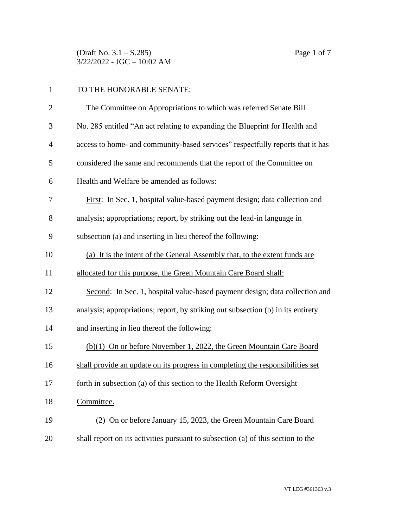(Draft No. 3.1 – S.285) Page 1 of 7 3/22/2022 - JGC – 10:02 AM

| $\mathbf{1}$   | TO THE HONORABLE SENATE:                                                         |  |
|----------------|----------------------------------------------------------------------------------|--|
| $\overline{c}$ | The Committee on Appropriations to which was referred Senate Bill                |  |
| 3              | No. 285 entitled "An act relating to expanding the Blueprint for Health and      |  |
| $\overline{4}$ | access to home- and community-based services" respectfully reports that it has   |  |
| 5              | considered the same and recommends that the report of the Committee on           |  |
| 6              | Health and Welfare be amended as follows:                                        |  |
| 7              | First: In Sec. 1, hospital value-based payment design; data collection and       |  |
| 8              | analysis; appropriations; report, by striking out the lead-in language in        |  |
| 9              | subsection (a) and inserting in lieu thereof the following:                      |  |
| 10             | (a) It is the intent of the General Assembly that, to the extent funds are       |  |
| 11             | allocated for this purpose, the Green Mountain Care Board shall:                 |  |
| 12             | Second: In Sec. 1, hospital value-based payment design; data collection and      |  |
| 13             | analysis; appropriations; report, by striking out subsection (b) in its entirety |  |
| 14             | and inserting in lieu thereof the following:                                     |  |
| 15             | (b)(1) On or before November 1, 2022, the Green Mountain Care Board              |  |
| 16             | shall provide an update on its progress in completing the responsibilities set   |  |
| 17             | forth in subsection (a) of this section to the Health Reform Oversight           |  |
| 18             | Committee.                                                                       |  |
| 19             | (2) On or before January 15, 2023, the Green Mountain Care Board                 |  |
| 20             | shall report on its activities pursuant to subsection (a) of this section to the |  |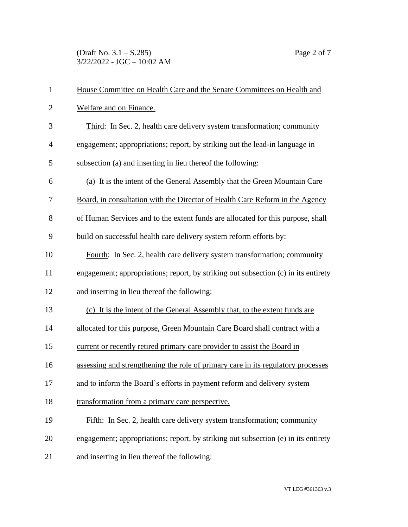(Draft No. 3.1 – S.285) Page 2 of 7 3/22/2022 - JGC – 10:02 AM

| $\mathbf{1}$   | House Committee on Health Care and the Senate Committees on Health and             |  |  |
|----------------|------------------------------------------------------------------------------------|--|--|
| $\mathbf{2}$   | Welfare and on Finance.                                                            |  |  |
| 3              | Third: In Sec. 2, health care delivery system transformation; community            |  |  |
| $\overline{4}$ | engagement; appropriations; report, by striking out the lead-in language in        |  |  |
| 5              | subsection (a) and inserting in lieu thereof the following:                        |  |  |
| 6              | (a) It is the intent of the General Assembly that the Green Mountain Care          |  |  |
| 7              | Board, in consultation with the Director of Health Care Reform in the Agency       |  |  |
| 8              | of Human Services and to the extent funds are allocated for this purpose, shall    |  |  |
| 9              | build on successful health care delivery system reform efforts by:                 |  |  |
| 10             | Fourth: In Sec. 2, health care delivery system transformation; community           |  |  |
| 11             | engagement; appropriations; report, by striking out subsection (c) in its entirety |  |  |
| 12             | and inserting in lieu thereof the following:                                       |  |  |
| 13             | (c) It is the intent of the General Assembly that, to the extent funds are         |  |  |
| 14             | allocated for this purpose, Green Mountain Care Board shall contract with a        |  |  |
| 15             | current or recently retired primary care provider to assist the Board in           |  |  |
| 16             | assessing and strengthening the role of primary care in its regulatory processes   |  |  |
| 17             | and to inform the Board's efforts in payment reform and delivery system            |  |  |
| 18             | transformation from a primary care perspective.                                    |  |  |
| 19             | Fifth: In Sec. 2, health care delivery system transformation; community            |  |  |
| 20             | engagement; appropriations; report, by striking out subsection (e) in its entirety |  |  |
| 21             | and inserting in lieu thereof the following:                                       |  |  |
|                |                                                                                    |  |  |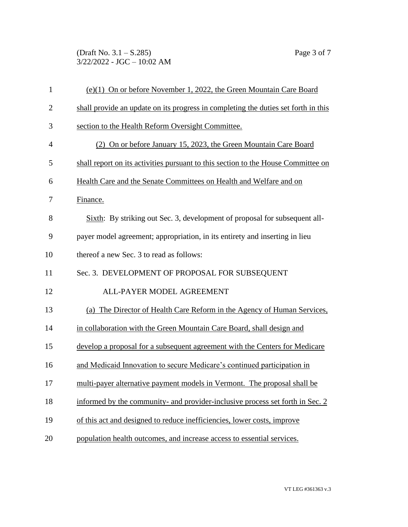(Draft No. 3.1 – S.285) Page 3 of 7 3/22/2022 - JGC – 10:02 AM

| $\mathbf{1}$   | (e)(1) On or before November 1, 2022, the Green Mountain Care Board                |
|----------------|------------------------------------------------------------------------------------|
| $\overline{2}$ | shall provide an update on its progress in completing the duties set forth in this |
| 3              | section to the Health Reform Oversight Committee.                                  |
| $\overline{4}$ | (2) On or before January 15, 2023, the Green Mountain Care Board                   |
| 5              | shall report on its activities pursuant to this section to the House Committee on  |
| 6              | Health Care and the Senate Committees on Health and Welfare and on                 |
| 7              | Finance.                                                                           |
| 8              | Sixth: By striking out Sec. 3, development of proposal for subsequent all-         |
| 9              | payer model agreement; appropriation, in its entirety and inserting in lieu        |
| 10             | thereof a new Sec. 3 to read as follows:                                           |
| 11             | Sec. 3. DEVELOPMENT OF PROPOSAL FOR SUBSEQUENT                                     |
| 12             | ALL-PAYER MODEL AGREEMENT                                                          |
| 13             | (a) The Director of Health Care Reform in the Agency of Human Services,            |
| 14             | in collaboration with the Green Mountain Care Board, shall design and              |
| 15             | develop a proposal for a subsequent agreement with the Centers for Medicare        |
| 16             | and Medicaid Innovation to secure Medicare's continued participation in            |
| 17             | multi-payer alternative payment models in Vermont. The proposal shall be           |
| 18             | informed by the community- and provider-inclusive process set forth in Sec. 2      |
| 19             | of this act and designed to reduce inefficiencies, lower costs, improve            |
| 20             | population health outcomes, and increase access to essential services.             |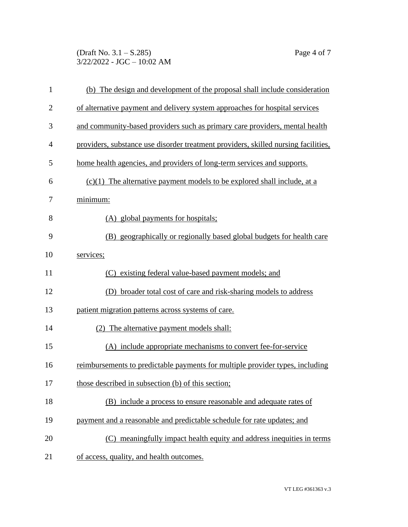(Draft No. 3.1 – S.285) Page 4 of 7 3/22/2022 - JGC – 10:02 AM

| $\mathbf{1}$   | (b) The design and development of the proposal shall include consideration         |  |  |
|----------------|------------------------------------------------------------------------------------|--|--|
| $\overline{2}$ | of alternative payment and delivery system approaches for hospital services        |  |  |
| 3              | and community-based providers such as primary care providers, mental health        |  |  |
| $\overline{4}$ | providers, substance use disorder treatment providers, skilled nursing facilities, |  |  |
| 5              | home health agencies, and providers of long-term services and supports.            |  |  |
| 6              | $(c)(1)$ The alternative payment models to be explored shall include, at a         |  |  |
| 7              | minimum:                                                                           |  |  |
| 8              | (A) global payments for hospitals;                                                 |  |  |
| 9              | (B) geographically or regionally based global budgets for health care              |  |  |
| 10             | services;                                                                          |  |  |
| 11             | (C) existing federal value-based payment models; and                               |  |  |
| 12             | (D) broader total cost of care and risk-sharing models to address                  |  |  |
| 13             | patient migration patterns across systems of care.                                 |  |  |
| 14             | (2) The alternative payment models shall:                                          |  |  |
| 15             | (A) include appropriate mechanisms to convert fee-for-service                      |  |  |
| 16             | reimbursements to predictable payments for multiple provider types, including      |  |  |
| 17             | those described in subsection (b) of this section;                                 |  |  |
| 18             | (B) include a process to ensure reasonable and adequate rates of                   |  |  |
| 19             | payment and a reasonable and predictable schedule for rate updates; and            |  |  |
| 20             | (C) meaningfully impact health equity and address inequities in terms              |  |  |
| 21             | of access, quality, and health outcomes.                                           |  |  |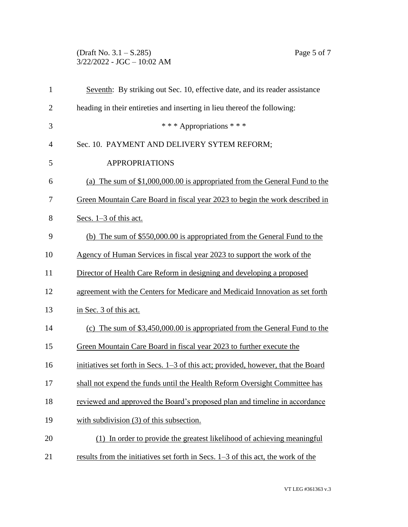## (Draft No. 3.1 – S.285) Page 5 of 7 3/22/2022 - JGC – 10:02 AM

| $\mathbf{1}$   | Seventh: By striking out Sec. 10, effective date, and its reader assistance       |
|----------------|-----------------------------------------------------------------------------------|
| $\overline{2}$ | heading in their entireties and inserting in lieu thereof the following:          |
| 3              | *** Appropriations ***                                                            |
| 4              | Sec. 10. PAYMENT AND DELIVERY SYTEM REFORM;                                       |
| 5              | <b>APPROPRIATIONS</b>                                                             |
| 6              | (a) The sum of $$1,000,000.00$ is appropriated from the General Fund to the       |
| 7              | Green Mountain Care Board in fiscal year 2023 to begin the work described in      |
| 8              | Secs. $1-3$ of this act.                                                          |
| 9              | (b) The sum of \$550,000.00 is appropriated from the General Fund to the          |
| 10             | Agency of Human Services in fiscal year 2023 to support the work of the           |
| 11             | Director of Health Care Reform in designing and developing a proposed             |
| 12             | agreement with the Centers for Medicare and Medicaid Innovation as set forth      |
| 13             | in Sec. 3 of this act.                                                            |
| 14             | (c) The sum of $$3,450,000.00$ is appropriated from the General Fund to the       |
| 15             | Green Mountain Care Board in fiscal year 2023 to further execute the              |
| 16             | initiatives set forth in Secs. 1–3 of this act; provided, however, that the Board |
| 17             | shall not expend the funds until the Health Reform Oversight Committee has        |
| 18             | reviewed and approved the Board's proposed plan and timeline in accordance        |
| 19             | with subdivision $(3)$ of this subsection.                                        |
| 20             | (1) In order to provide the greatest likelihood of achieving meaningful           |
| 21             | results from the initiatives set forth in Secs. 1–3 of this act, the work of the  |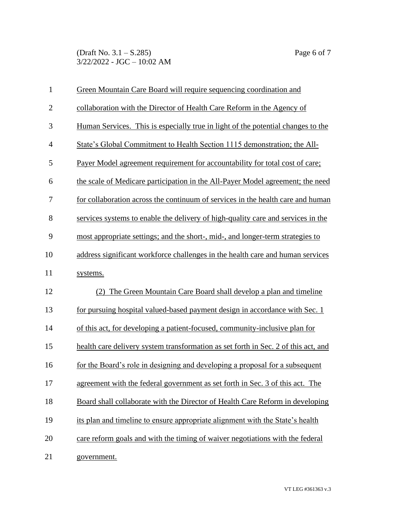(Draft No. 3.1 – S.285) Page 6 of 7 3/22/2022 - JGC – 10:02 AM

| 1              | Green Mountain Care Board will require sequencing coordination and                 |  |
|----------------|------------------------------------------------------------------------------------|--|
| $\mathbf{2}$   | collaboration with the Director of Health Care Reform in the Agency of             |  |
| 3              | Human Services. This is especially true in light of the potential changes to the   |  |
| $\overline{4}$ | State's Global Commitment to Health Section 1115 demonstration; the All-           |  |
| 5              | Payer Model agreement requirement for accountability for total cost of care;       |  |
| 6              | the scale of Medicare participation in the All-Payer Model agreement; the need     |  |
| 7              | for collaboration across the continuum of services in the health care and human    |  |
| 8              | services systems to enable the delivery of high-quality care and services in the   |  |
| 9              | most appropriate settings; and the short-, mid-, and longer-term strategies to     |  |
| 10             | address significant workforce challenges in the health care and human services     |  |
| 11             | systems.                                                                           |  |
| 12             | (2) The Green Mountain Care Board shall develop a plan and timeline                |  |
| 13             | for pursuing hospital valued-based payment design in accordance with Sec. 1        |  |
| 14             | of this act, for developing a patient-focused, community-inclusive plan for        |  |
| 15             | health care delivery system transformation as set forth in Sec. 2 of this act, and |  |
| 16             | for the Board's role in designing and developing a proposal for a subsequent       |  |
| 17             | agreement with the federal government as set forth in Sec. 3 of this act. The      |  |
| 18             | Board shall collaborate with the Director of Health Care Reform in developing      |  |
| 19             | its plan and timeline to ensure appropriate alignment with the State's health      |  |
| 20             | care reform goals and with the timing of waiver negotiations with the federal      |  |
| 21             | government.                                                                        |  |